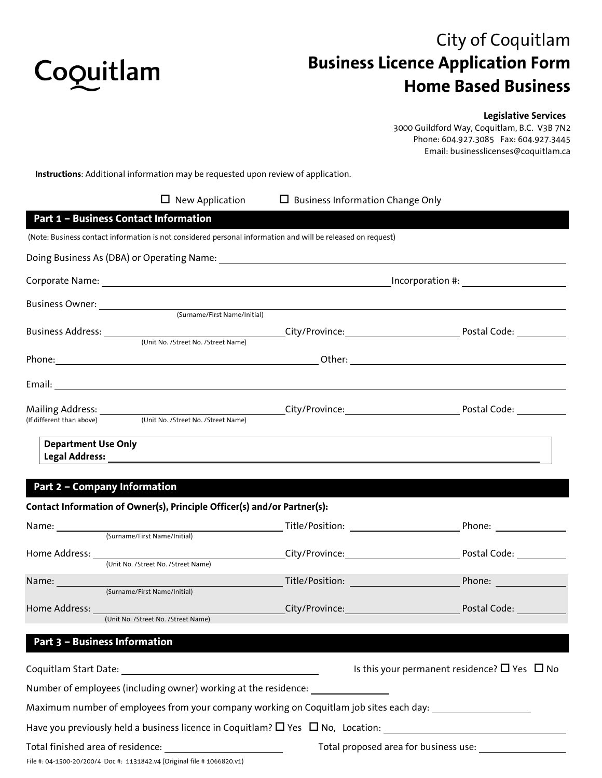

# City of Coquitlam **Business Licence Application Form Home Based Business**

## **Legislative Services**

3000 Guildford Way, Coquitlam, B.C. V3B 7N2 Phone: 604.927.3085 Fax: 604.927.3445 Email: businesslicenses@coquitlam.ca

**Instructions**: Additional information may be requested upon review of application.

|                                                            | $\Box$ New Application                                                                                          | $\Box$ Business Information Change Only |                                                        |  |
|------------------------------------------------------------|-----------------------------------------------------------------------------------------------------------------|-----------------------------------------|--------------------------------------------------------|--|
| Part 1 - Business Contact Information                      |                                                                                                                 |                                         |                                                        |  |
|                                                            | (Note: Business contact information is not considered personal information and will be released on request)     |                                         |                                                        |  |
|                                                            |                                                                                                                 |                                         |                                                        |  |
|                                                            |                                                                                                                 |                                         |                                                        |  |
| Business Owner: ________________                           | (Surname/First Name/Initial)                                                                                    |                                         |                                                        |  |
|                                                            |                                                                                                                 |                                         |                                                        |  |
|                                                            |                                                                                                                 |                                         |                                                        |  |
|                                                            |                                                                                                                 |                                         |                                                        |  |
| (If different than above)                                  | (Unit No. /Street No. /Street Name)                                                                             |                                         |                                                        |  |
| <b>Department Use Only</b><br>Part 2 - Company Information |                                                                                                                 |                                         |                                                        |  |
|                                                            | Contact Information of Owner(s), Principle Officer(s) and/or Partner(s):                                        |                                         |                                                        |  |
|                                                            | Name: <u>Community (Surname/First Name/Initial)</u>                                                             |                                         |                                                        |  |
| Home Address:                                              | (Unit No. /Street No. /Street Name)                                                                             |                                         |                                                        |  |
| Name: <u>Community (Surname/First Name/Initial)</u>        |                                                                                                                 |                                         | Phone:                                                 |  |
|                                                            | <b>Home Address: Example 2016</b><br>(Unit No. /Street No. /Street Name)                                        | City/Province: City/Province:           | Postal Code: The Control of the Control                |  |
| Part 3 - Business Information                              |                                                                                                                 |                                         |                                                        |  |
|                                                            | Coquitlam Start Date: The Contract of the Contract of the Contract of the Contract of the Contract of the Contr |                                         | Is this your permanent residence? $\Box$ Yes $\Box$ No |  |
|                                                            | Number of employees (including owner) working at the residence:                                                 |                                         |                                                        |  |

Maximum number of employees from your company working on Coquitlam job sites each day: \_\_\_\_\_\_\_\_\_\_\_\_\_\_\_\_\_\_\_\_\_\_\_

Have you previously held a business licence in Coquitlam?  $\Box$  Yes  $\Box$  No, Location:

File #: 04-1500-20/200/4 Doc #: 1131842.v4 (Original file # 1066820.v1)

Total finished area of residence: Total proposed area for business use: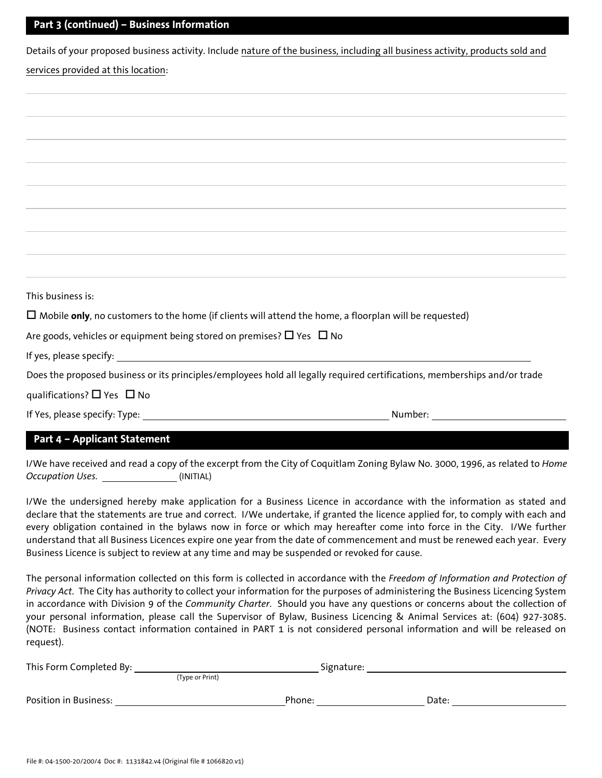## **Part 3 (continued) – Business Information**

Details of your proposed business activity. Include nature of the business, including all business activity, products sold and services provided at this location:

| This business is:                                                                                              |                                                                                                                           |
|----------------------------------------------------------------------------------------------------------------|---------------------------------------------------------------------------------------------------------------------------|
| $\Box$ Mobile only, no customers to the home (if clients will attend the home, a floorplan will be requested)  |                                                                                                                           |
| Are goods, vehicles or equipment being stored on premises? $\Box$ Yes $\Box$ No                                |                                                                                                                           |
|                                                                                                                |                                                                                                                           |
|                                                                                                                | Does the proposed business or its principles/employees hold all legally required certifications, memberships and/or trade |
| qualifications? $\Box$ Yes $\Box$ No                                                                           |                                                                                                                           |
| If Yes, please specify: Type: 1998 and 2008 and 2008 and 2008 and 2008 and 2008 and 2008 and 2008 and 2008 and | Number: 1988                                                                                                              |
| <b>Part 4 - Applicant Statement</b>                                                                            |                                                                                                                           |

I/We have received and read a copy of the excerpt from the City of Coquitlam Zoning Bylaw No. 3000, 1996, as related to *Home Occupation Uses.* (INITIAL)

I/We the undersigned hereby make application for a Business Licence in accordance with the information as stated and declare that the statements are true and correct. I/We undertake, if granted the licence applied for, to comply with each and every obligation contained in the bylaws now in force or which may hereafter come into force in the City. I/We further understand that all Business Licences expire one year from the date of commencement and must be renewed each year. Every Business Licence is subject to review at any time and may be suspended or revoked for cause.

The personal information collected on this form is collected in accordance with the *Freedom of Information and Protection of Privacy Act*. The City has authority to collect your information for the purposes of administering the Business Licencing System in accordance with Division 9 of the *Community Charter*. Should you have any questions or concerns about the collection of your personal information, please call the Supervisor of Bylaw, Business Licencing & Animal Services at: (604) 927-3085. (NOTE: Business contact information contained in PART 1 is not considered personal information and will be released on request).

| This Form Completed By: |                 | Signature: |  |
|-------------------------|-----------------|------------|--|
|                         | (Type or Print) |            |  |
| Position in Business:   | Phone:          | Date:      |  |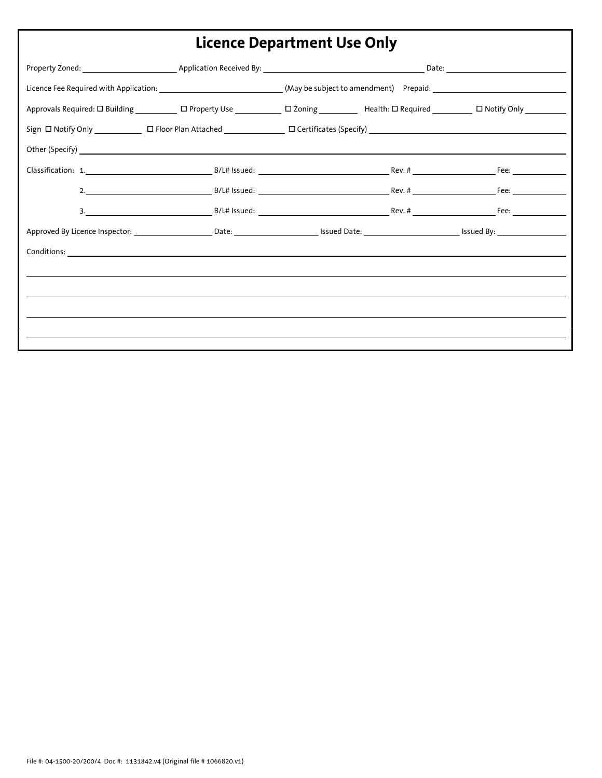| ERCHICE DEPUI GINCHIC OSE ONI J |  |  |  |  |  |  |  |  |
|---------------------------------|--|--|--|--|--|--|--|--|
|                                 |  |  |  |  |  |  |  |  |
|                                 |  |  |  |  |  |  |  |  |
|                                 |  |  |  |  |  |  |  |  |
|                                 |  |  |  |  |  |  |  |  |
|                                 |  |  |  |  |  |  |  |  |
|                                 |  |  |  |  |  |  |  |  |
|                                 |  |  |  |  |  |  |  |  |
|                                 |  |  |  |  |  |  |  |  |
|                                 |  |  |  |  |  |  |  |  |
|                                 |  |  |  |  |  |  |  |  |
|                                 |  |  |  |  |  |  |  |  |
|                                 |  |  |  |  |  |  |  |  |
|                                 |  |  |  |  |  |  |  |  |
|                                 |  |  |  |  |  |  |  |  |
|                                 |  |  |  |  |  |  |  |  |